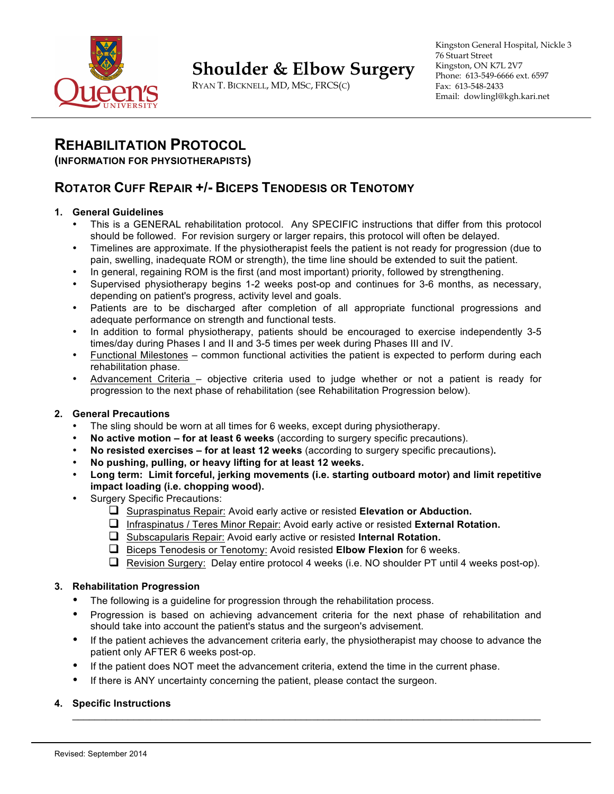

# **Shoulder & Elbow Surgery**

RYAN T. BICKNELL, MD, MSC, FRCS(C)

Kingston General Hospital, Nickle 3 76 Stuart Street Kingston, ON K7L 2V7 Phone: 613-549-6666 ext. 6597 Fax: 613-548-2433 Email: dowlingl@kgh.kari.net

## **REHABILITATION PROTOCOL**

#### **(INFORMATION FOR PHYSIOTHERAPISTS)**

## **ROTATOR CUFF REPAIR +/- BICEPS TENODESIS OR TENOTOMY**

#### **1. General Guidelines**

- This is a GENERAL rehabilitation protocol. Any SPECIFIC instructions that differ from this protocol should be followed. For revision surgery or larger repairs, this protocol will often be delayed.
- Timelines are approximate. If the physiotherapist feels the patient is not ready for progression (due to pain, swelling, inadequate ROM or strength), the time line should be extended to suit the patient.
- In general, regaining ROM is the first (and most important) priority, followed by strengthening.
- Supervised physiotherapy begins 1-2 weeks post-op and continues for 3-6 months, as necessary, depending on patient's progress, activity level and goals.
- Patients are to be discharged after completion of all appropriate functional progressions and adequate performance on strength and functional tests.
- In addition to formal physiotherapy, patients should be encouraged to exercise independently 3-5 times/day during Phases I and II and 3-5 times per week during Phases III and IV.
- Functional Milestones common functional activities the patient is expected to perform during each rehabilitation phase.
- Advancement Criteria objective criteria used to judge whether or not a patient is ready for progression to the next phase of rehabilitation (see Rehabilitation Progression below).

#### **2. General Precautions**

- The sling should be worn at all times for 6 weeks, except during physiotherapy.
- **No active motion – for at least 6 weeks** (according to surgery specific precautions).
- **No resisted exercises – for at least 12 weeks** (according to surgery specific precautions)**.**
- **No pushing, pulling, or heavy lifting for at least 12 weeks.**
- **Long term: Limit forceful, jerking movements (i.e. starting outboard motor) and limit repetitive impact loading (i.e. chopping wood).**
- Surgery Specific Precautions:
	- □ Supraspinatus Repair: Avoid early active or resisted **Elevation or Abduction.**
	- q Infraspinatus / Teres Minor Repair: Avoid early active or resisted **External Rotation.**
	- **Q** Subscapularis Repair: Avoid early active or resisted Internal Rotation.
	- q Biceps Tenodesis or Tenotomy: Avoid resisted **Elbow Flexion** for 6 weeks.
	- **Q** Revision Surgery: Delay entire protocol 4 weeks (i.e. NO shoulder PT until 4 weeks post-op).

#### **3. Rehabilitation Progression**

- The following is a guideline for progression through the rehabilitation process.
- Progression is based on achieving advancement criteria for the next phase of rehabilitation and should take into account the patient's status and the surgeon's advisement.
- If the patient achieves the advancement criteria early, the physiotherapist may choose to advance the patient only AFTER 6 weeks post-op.

 $\_$  , and the state of the state of the state of the state of the state of the state of the state of the state of the state of the state of the state of the state of the state of the state of the state of the state of the

- If the patient does NOT meet the advancement criteria, extend the time in the current phase.
- If there is ANY uncertainty concerning the patient, please contact the surgeon.

#### **4. Specific Instructions**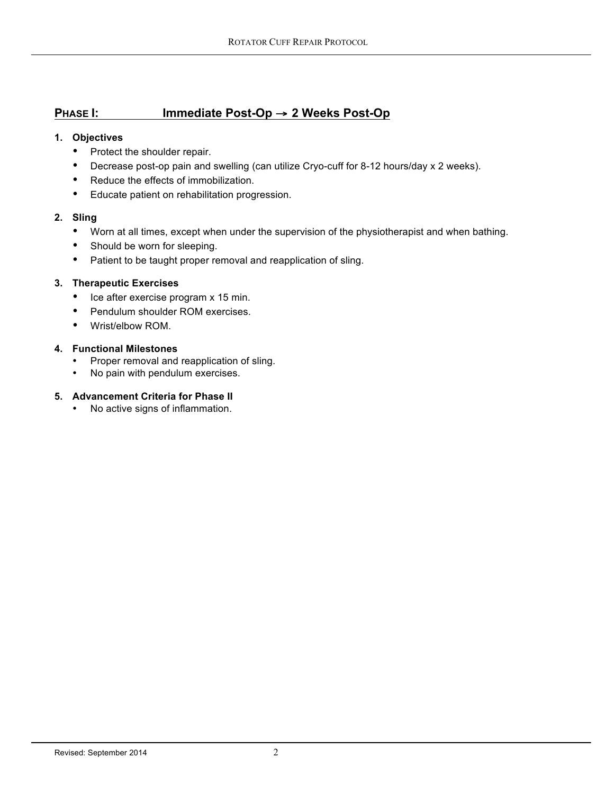## **PHASE I: Immediate Post-Op** → **2 Weeks Post-Op**

#### **1. Objectives**

- Protect the shoulder repair.
- Decrease post-op pain and swelling (can utilize Cryo-cuff for 8-12 hours/day x 2 weeks).
- Reduce the effects of immobilization.
- Educate patient on rehabilitation progression.

#### **2. Sling**

- Worn at all times, except when under the supervision of the physiotherapist and when bathing.
- Should be worn for sleeping.
- Patient to be taught proper removal and reapplication of sling.

#### **3. Therapeutic Exercises**

- Ice after exercise program x 15 min.
- Pendulum shoulder ROM exercises.
- Wrist/elbow ROM.

#### **4. Functional Milestones**

- Proper removal and reapplication of sling.
- No pain with pendulum exercises.

#### **5. Advancement Criteria for Phase II**

• No active signs of inflammation.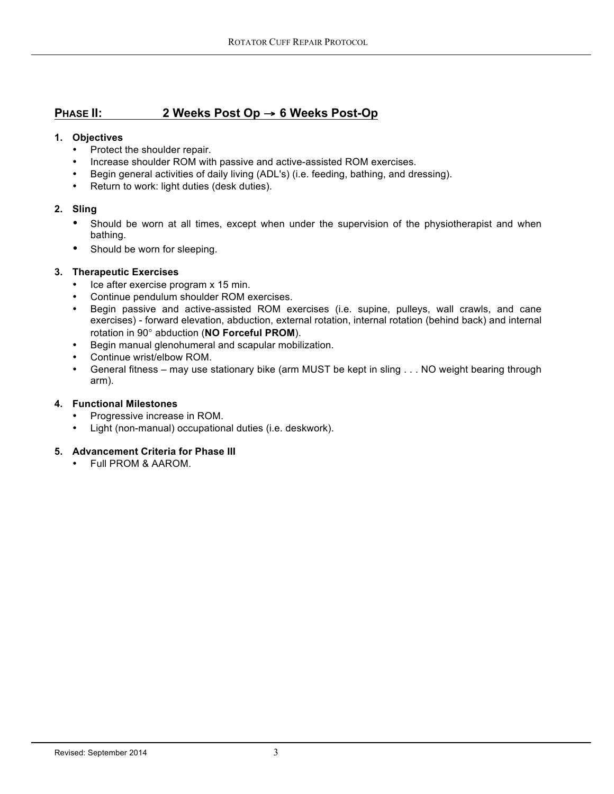## **PHASE II: 2 Weeks Post Op** → **6 Weeks Post-Op**

#### **1. Objectives**

- Protect the shoulder repair.
- Increase shoulder ROM with passive and active-assisted ROM exercises.
- Begin general activities of daily living (ADL's) (i.e. feeding, bathing, and dressing).<br>• Return to work: light duties (desk duties)
- Return to work: light duties (desk duties).

#### **2. Sling**

- Should be worn at all times, except when under the supervision of the physiotherapist and when bathing.
- Should be worn for sleeping.

#### **3. Therapeutic Exercises**

- Ice after exercise program x 15 min.
- Continue pendulum shoulder ROM exercises.
- Begin passive and active-assisted ROM exercises (i.e. supine, pulleys, wall crawls, and cane exercises) - forward elevation, abduction, external rotation, internal rotation (behind back) and internal rotation in 90° abduction (**NO Forceful PROM**).
- Begin manual glenohumeral and scapular mobilization.
- Continue wrist/elbow ROM.
- General fitness may use stationary bike (arm MUST be kept in sling . . . NO weight bearing through arm).

#### **4. Functional Milestones**

- Progressive increase in ROM.<br>• Light (non-manual) occupation
- Light (non-manual) occupational duties (i.e. deskwork).

#### **5. Advancement Criteria for Phase III**

• Full PROM & AAROM.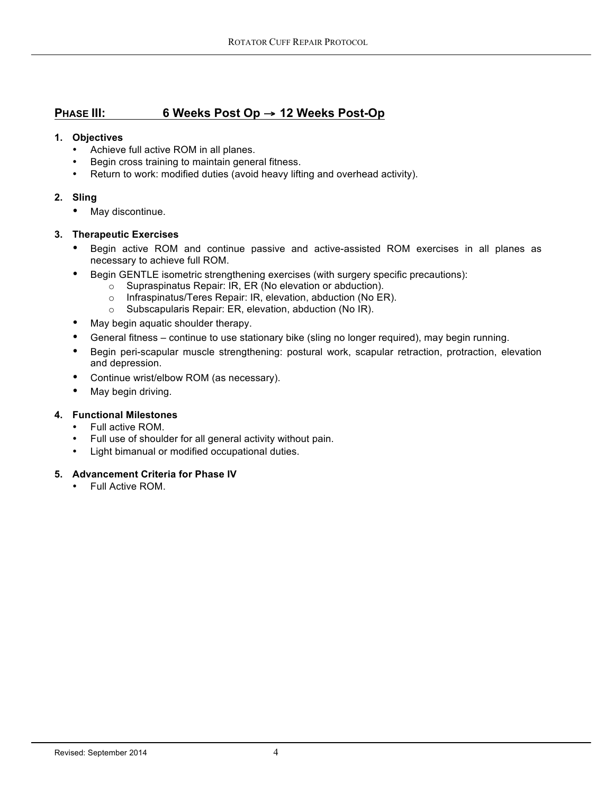## **PHASE III: 6 Weeks Post Op** → **12 Weeks Post-Op**

#### **1. Objectives**

- Achieve full active ROM in all planes.
- Begin cross training to maintain general fitness.
- Return to work: modified duties (avoid heavy lifting and overhead activity).

#### **2. Sling**

• May discontinue.

#### **3. Therapeutic Exercises**

- Begin active ROM and continue passive and active-assisted ROM exercises in all planes as necessary to achieve full ROM.
- Begin GENTLE isometric strengthening exercises (with surgery specific precautions):
	- o Supraspinatus Repair: IR, ER (No elevation or abduction).
	- o Infraspinatus/Teres Repair: IR, elevation, abduction (No ER).
	- o Subscapularis Repair: ER, elevation, abduction (No IR).
- May begin aquatic shoulder therapy.
- General fitness continue to use stationary bike (sling no longer required), may begin running.
- Begin peri-scapular muscle strengthening: postural work, scapular retraction, protraction, elevation and depression.
- Continue wrist/elbow ROM (as necessary).
- May begin driving.

#### **4. Functional Milestones**

- Full active ROM.
- Full use of shoulder for all general activity without pain.
- Light bimanual or modified occupational duties.

#### **5. Advancement Criteria for Phase IV**

• Full Active ROM.